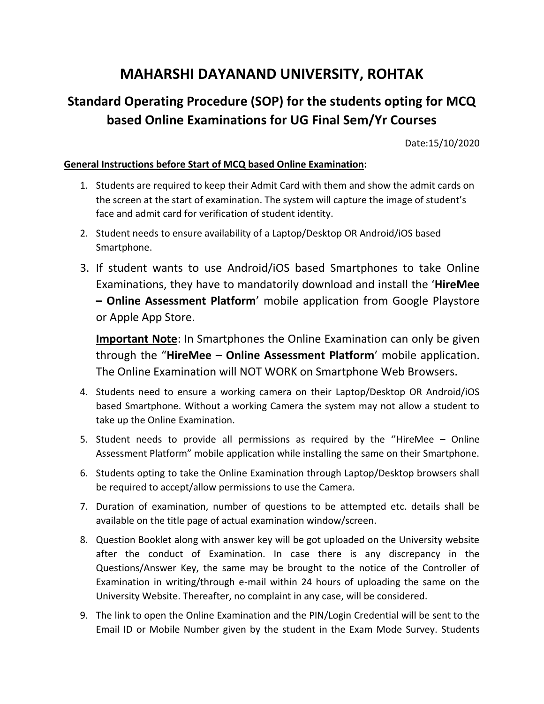# **MAHARSHI DAYANAND UNIVERSITY, ROHTAK**

## **Standard Operating Procedure (SOP) for the students opting for MCQ based Online Examinations for UG Final Sem/Yr Courses**

Date:15/10/2020

#### **General Instructions before Start of MCQ based Online Examination:**

- 1. Students are required to keep their Admit Card with them and show the admit cards on the screen at the start of examination. The system will capture the image of student's face and admit card for verification of student identity.
- 2. Student needs to ensure availability of a Laptop/Desktop OR Android/iOS based Smartphone.
- 3. If student wants to use Android/iOS based Smartphones to take Online Examinations, they have to mandatorily download and install the '**HireMee – Online Assessment Platform**' mobile application from Google Playstore or Apple App Store.

**Important Note**: In Smartphones the Online Examination can only be given through the "**HireMee – Online Assessment Platform**' mobile application. The Online Examination will NOT WORK on Smartphone Web Browsers.

- 4. Students need to ensure a working camera on their Laptop/Desktop OR Android/iOS based Smartphone. Without a working Camera the system may not allow a student to take up the Online Examination.
- 5. Student needs to provide all permissions as required by the ''HireMee Online Assessment Platform" mobile application while installing the same on their Smartphone.
- 6. Students opting to take the Online Examination through Laptop/Desktop browsers shall be required to accept/allow permissions to use the Camera.
- 7. Duration of examination, number of questions to be attempted etc. details shall be available on the title page of actual examination window/screen.
- 8. Question Booklet along with answer key will be got uploaded on the University website after the conduct of Examination. In case there is any discrepancy in the Questions/Answer Key, the same may be brought to the notice of the Controller of Examination in writing/through e-mail within 24 hours of uploading the same on the University Website. Thereafter, no complaint in any case, will be considered.
- 9. The link to open the Online Examination and the PIN/Login Credential will be sent to the Email ID or Mobile Number given by the student in the Exam Mode Survey. Students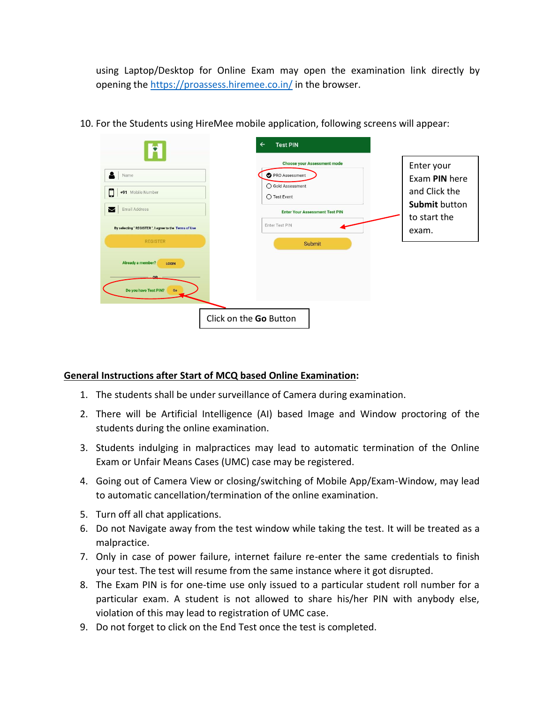using Laptop/Desktop for Online Exam may open the examination link directly by opening the<https://proassess.hiremee.co.in/> in the browser.

|                                                                           | $\leftarrow$<br><b>Test PIN</b>                                                                                                             |                                                               |
|---------------------------------------------------------------------------|---------------------------------------------------------------------------------------------------------------------------------------------|---------------------------------------------------------------|
| $\bullet$<br>Name<br>С<br>+91 Mobile Number<br><b>Email Address</b><br>М  | <b>Choose your Assessment mode</b><br>PRO Assessment<br>◯ Gold Assessment<br>$\bigcirc$ Test Event<br><b>Enter Your Assessment Test PIN</b> | Enter your<br>Exam PIN here<br>and Click the<br>Submit button |
| By selecting " REGISTER ", I agree to the Terms of Use<br><b>REGISTER</b> | Enter Test PIN<br>Submit                                                                                                                    | to start the<br>exam.                                         |
| Already a member?<br>LOGIN<br>Do you have Test PIN?<br>Go                 |                                                                                                                                             |                                                               |
|                                                                           | Click on the Go Button                                                                                                                      |                                                               |

10. For the Students using HireMee mobile application, following screens will appear:

### **General Instructions after Start of MCQ based Online Examination:**

- 1. The students shall be under surveillance of Camera during examination.
- 2. There will be Artificial Intelligence (AI) based Image and Window proctoring of the students during the online examination.
- 3. Students indulging in malpractices may lead to automatic termination of the Online Exam or Unfair Means Cases (UMC) case may be registered.
- 4. Going out of Camera View or closing/switching of Mobile App/Exam-Window, may lead to automatic cancellation/termination of the online examination.
- 5. Turn off all chat applications.
- 6. Do not Navigate away from the test window while taking the test. It will be treated as a malpractice.
- 7. Only in case of power failure, internet failure re-enter the same credentials to finish your test. The test will resume from the same instance where it got disrupted.
- 8. The Exam PIN is for one-time use only issued to a particular student roll number for a particular exam. A student is not allowed to share his/her PIN with anybody else, violation of this may lead to registration of UMC case.
- 9. Do not forget to click on the End Test once the test is completed.